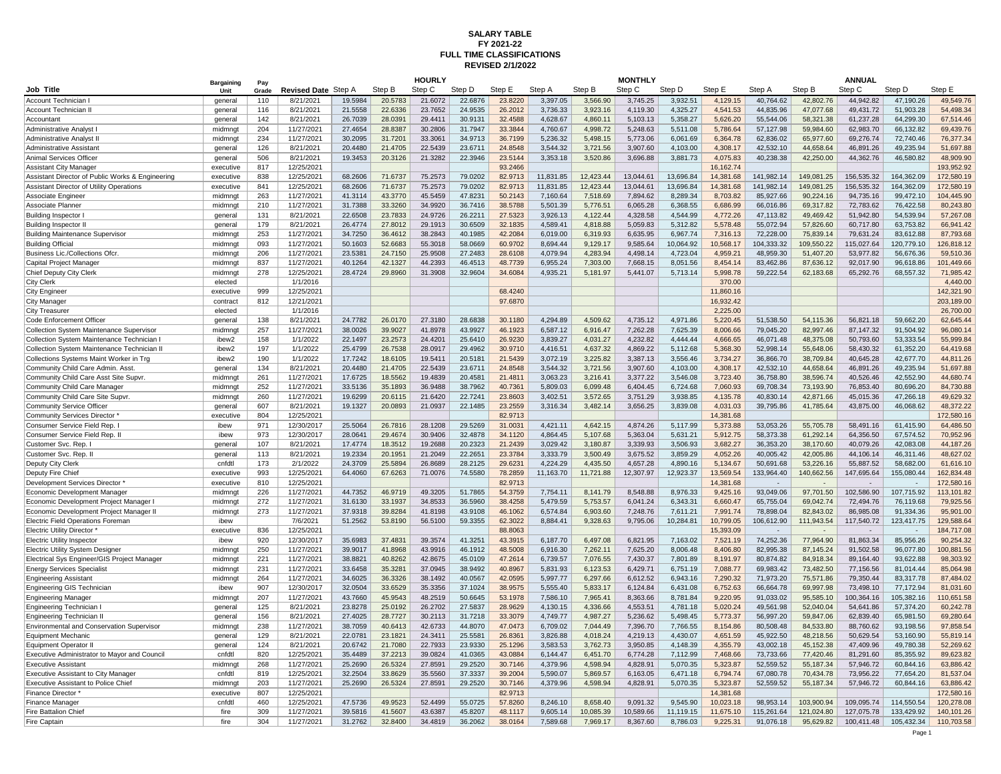## **FULL TIME CLASSIFICATIONS SALARY TABLE FY 2021-22 REVISED 2/1/2022**

|                                                  | Bargaining | Pav        |                     |         |         | <b>HOURLY</b> |         |         |           |           | <b>MONTHLY</b> |           |           |            |            | <b>ANNUAL</b> |            |            |
|--------------------------------------------------|------------|------------|---------------------|---------|---------|---------------|---------|---------|-----------|-----------|----------------|-----------|-----------|------------|------------|---------------|------------|------------|
| Job Title                                        | Unit       | Grade      | <b>Revised Date</b> | Step A  | Step B  | Step C        | Step D  | Step E  | Step A    | Step B    | Step C         | Step D    | Step E    | Step A     | Step B     | Step C        | Step D     | Step E     |
| Account Technician                               | general    | 110        | 8/21/2021           | 19.5984 | 20.5783 | 21.6072       | 22.6876 | 23.8220 | 3,397.05  | 3,566.90  | 3.745.25       | 3.932.5'  | 4.129.15  | 40.764.62  | 42.802.76  | 44.942.82     | 47.190.26  | 49.549.76  |
| Account Technician II                            | general    | 116        | 8/21/2021           | 21.5558 | 22.6336 | 23.7652       | 24.9535 | 26.2012 | 3,736.33  | 3,923.16  | 4,119.30       | 4,325.27  | 4,541.53  | 44,835.96  | 47,077.68  | 49,431.72     | 51,903.28  | 54,498.34  |
| Accountant                                       | general    | 142        | 8/21/2021           | 26.7039 | 28.0391 | 29.4411       | 30.9131 | 32.4588 | 4,628.67  | 4,860.11  | 5,103.13       | 5,358.27  | 5,626.20  | 55,544.06  | 58,321.38  | 61,237.28     | 64,299.30  | 67,514.46  |
| Administrative Analyst I                         | midmngt    | 204        | 11/27/2021          | 27.4654 | 28.8387 | 30.2806       | 31.7947 | 33.3844 | 4,760.67  | 4,998.72  | 5,248.63       | 5,511.08  | 5,786.64  | 57,127.98  | 59,984.60  | 62,983.70     | 66,132.82  | 69,439.76  |
| Administrative Analyst I                         | midmngt    | 234        | 11/27/2021          | 30.2095 | 31.7201 | 33.3061       | 34.9713 | 36,7199 | 5.236.32  | 5,498.15  | 5,773.06       | 6,061.69  | 6,364.78  | 62.836.02  | 65.977.60  | 69,276.74     | 72.740.46  | 76,377.34  |
| Administrative Assistant                         | general    | 126        | 8/21/2021           | 20.4480 | 21.4705 | 22.5439       | 23.6711 | 24.8548 | 3,544.32  | 3,721.56  | 3.907.60       | 4,103.00  | 4,308.17  | 42.532.10  | 44.658.64  | 46,891.26     | 49.235.94  | 51.697.88  |
| Animal Services Officer                          | general    | 506        | 8/21/2021           | 19.3453 | 20.3126 | 21.3282       | 22.3946 | 23.5144 | 3,353.18  | 3,520.86  | 3,696.88       | 3,881.73  | 4,075.83  | 40,238.38  | 42,250.00  | 44,362.76     | 46,580.82  | 48,909.90  |
| <b>Assistant City Manager</b>                    | executive  | 817        | 12/25/2021          |         |         |               |         | 93.2466 |           |           |                |           | 16,162.74 |            |            |               |            | 193.952.92 |
| Assistant Director of Public Works & Engineering | executive  | 838        | 12/25/2021          | 68.2606 | 71.6737 | 75.2573       | 79.0202 | 82.9713 | 11,831.85 | 12,423.44 | 13,044.61      | 13,696.84 | 14.381.68 | 141,982.14 | 149,081.25 | 156,535.32    | 164,362.09 | 172,580.19 |
| Assistant Director of Utility Operations         | executive  | 841        | 12/25/2021          | 68.2606 | 71.6737 | 75.2573       | 79.0202 | 82.9713 | 11,831.85 | 12,423.44 | 13,044.61      | 13,696.84 | 14,381.68 | 141,982.14 | 149,081.25 | 156,535.32    | 164,362.09 | 172,580.1  |
| Associate Engineer                               | midmnat    | 263        | 11/27/2021          | 41.3114 | 43.3770 | 45.5459       | 47.8231 | 50.2143 | 7.160.64  | 7.518.69  | 7.894.62       | 8.289.34  | 8.703.82  | 85.927.66  | 90.224.16  | 94.735.16     | 99.472.10  | 104.445.90 |
| Associate Planner                                | midmngt    | 210        | 11/27/2021          | 31.7388 | 33.3260 | 34.9920       | 36.7416 | 38.5788 | 5,501.39  | 5,776.51  | 6,065.28       | 6,368.55  | 6,686.99  | 66,016.86  | 69,317.82  | 72.783.62     | 76,422.58  | 80.243.80  |
| Building Inspector                               | general    | 131        | 8/21/2021           | 22.6508 | 23.7833 | 24.9726       | 26.2211 | 27.5323 | 3,926.13  | 4,122.44  | 4,328.58       | 4,544.99  | 4,772.26  | 47,113.82  | 49,469.42  | 51,942.80     | 54,539.94  | 57,267.08  |
| <b>Building Inspector I</b>                      |            | 179        | 8/21/2021           | 26.4774 | 27,8012 | 29.1913       | 30.6509 | 32.1835 | 4.589.41  | 4.818.88  | 5.059.83       | 5.312.82  | 5.578.48  | 55.072.94  | 57.826.60  | 60.717.80     | 63.753.82  | 66.941.42  |
|                                                  | general    |            |                     |         |         | 38.2843       |         |         |           |           |                |           |           |            |            |               |            |            |
| <b>Building Maintenance Supervisor</b>           | midmngt    | 253        | 11/27/2021          | 34.7250 | 36.4612 |               | 40.1985 | 42.2084 | 6,019.00  | 6,319.93  | 6,635.95       | 6,967.74  | 7,316.13  | 72,228.00  | 75,839.14  | 79,631.24     | 83,612.88  | 87,793.68  |
| <b>Building Official</b>                         | midmngt    | 093        | 11/27/2021          | 50.1603 | 52.6683 | 55.3018       | 58.0669 | 60.9702 | 8.694.44  | 9,129.17  | 9,585.64       | 10,064.92 | 10,568.17 | 104.333.32 | 109,550.22 | 115,027.64    | 120,779.10 | 126,818.1  |
| Business Lic./Collections Ofcr.                  | midmngt    | 206        | 11/27/2021          | 23.5381 | 24.7150 | 25.9508       | 27.2483 | 28.6108 | 4,079.94  | 4,283.94  | 4.498.14       | 4,723.04  | 4.959.21  | 48.959.30  | 51,407.20  | 53.977.82     | 56,676.36  | 59,510.36  |
| Capital Project Manager                          | midmngt    | 837        | 11/27/2021          | 40.1264 | 42.1327 | 44.2393       | 46.4513 | 48.7739 | 6,955.24  | 7,303.00  | 7,668.15       | 8,051.56  | 8,454.14  | 83,462.86  | 87,636.12  | 92,017.90     | 96,618.86  | 101.449.6  |
| Chief Deputy City Clerk                          | midmngt    | 278        | 12/25/2021          | 28.4724 | 29.8960 | 31.3908       | 32.9604 | 34.6084 | 4,935.21  | 5,181.97  | 5,441.07       | 5,713.14  | 5,998.78  | 59.222.54  | 62,183.68  | 65,292.76     | 68,557.32  | 71.985.4   |
| <b>City Clerk</b>                                | elected    |            | 1/1/2016            |         |         |               |         |         |           |           |                |           | 370.00    |            |            |               |            | 4,440.00   |
| <b>City Engineer</b>                             | executive  | 999        | 12/25/2021          |         |         |               |         | 68.4240 |           |           |                |           | 11,860.16 |            |            |               |            | 142,321.90 |
| City Manager                                     | contract   | 812        | 12/21/2021          |         |         |               |         | 97.6870 |           |           |                |           | 16.932.42 |            |            |               |            | 203.189.00 |
| <b>City Treasurer</b>                            | elected    |            | 1/1/2016            |         |         |               |         |         |           |           |                |           | 2,225.00  |            |            |               |            | 26,700.00  |
| Code Enforcement Officer                         | general    | 138        | 8/21/2021           | 24.7782 | 26.0170 | 27.3180       | 28.6838 | 30.1180 | 4,294.89  | 4,509.62  | 4,735.12       | 4,971.86  | 5,220.45  | 51,538.50  | 54,115.36  | 56,821.18     | 59,662.20  | 62,645.44  |
| <b>Collection System Maintenance Supervisor</b>  | midmnat    | 257        | 11/27/2021          | 38.0026 | 39.9027 | 41.8978       | 43.9927 | 46.1923 | 6.587.12  | 6.916.47  | 7.262.28       | 7.625.39  | 8.006.66  | 79.045.20  | 82.997.46  | 87.147.32     | 91.504.92  | 96.080.14  |
| Collection System Maintenance Technician         | ibew2      | 158        | 1/1/2022            | 22.1497 | 23.2573 | 24.4201       | 25.6410 | 26.9230 | 3,839.27  | 4,031.27  | 4,232.82       | 4,444.44  | 4,666.65  | 46,071.48  | 48,375.08  | 50,793.60     | 53,333.54  | 55,999.84  |
| Collection System Maintenance Technician I       | ibew2      | 197        | 1/1/2022            | 25.4799 | 26.7538 | 28.0917       | 29.4962 | 30.9710 | 4,416.51  | 4,637.32  | 4,869.22       | 5,112.68  | 5,368.30  | 52.998.14  | 55,648.06  | 58,430.32     | 61,352.20  | 64.419.68  |
| Collections Systems Maint Worker in Trg          | ibew2      | 190        | 1/1/2022            | 17.7242 | 18.6105 | 19.5411       | 20.5181 | 21.5439 | 3,072.19  | 3,225.82  | 3 387 13       | 3,556.46  | 3,734.27  | 36,866.70  | 38,709.84  | 40,645.28     | 42.677.70  | 44.811.26  |
| Community Child Care Admin. Asst                 | general    | 134        | 8/21/2021           | 20.4480 | 21.4705 | 22.5439       | 23.6711 | 24.8548 | 3,544.32  | 3,721.56  | 3,907.60       | 4,103.00  | 4,308.17  | 42.532.10  | 44,658.64  | 46,891.26     | 49,235.94  | 51.697.88  |
| Community Child Care Asst Site Supvi             | midmngt    | 261        | 11/27/2021          | 17.6725 | 18.5562 | 19.4839       | 20.4581 | 21.4811 | 3,063.23  | 3,216.41  | 3.377.22       | 3,546.08  | 3,723.40  | 36.758.80  | 38.596.74  | 40,526.46     | 42.552.90  | 44.680.7   |
| Community Child Care Manager                     | midmngt    | 252        | 11/27/2021          | 33.5136 | 35.1893 | 36.9488       | 38.7962 | 40.7361 | 5,809.03  | 6,099.48  | 6,404.45       | 6,724.68  | 7,060.93  | 69,708.34  | 73,193.90  | 76,853.40     | 80,696.20  | 84,730.88  |
| Community Child Care Site Supvr.                 | midmngt    | 260        | 11/27/2021          | 19.6299 | 20.6115 | 21.6420       | 22.7241 | 23.8603 | 3,402.51  | 3,572.65  | 3,751.29       | 3,938.85  | 4,135.78  | 40,830.14  | 42,871.66  | 45,015.36     | 47,266.18  | 49,629.32  |
| Community Service Officer                        | general    | 607        | 8/21/2021           | 19.1327 | 20.0893 | 21.0937       | 22.1485 | 23.2559 | 3.316.34  | 3.482.14  | 3.656.25       | 3.839.08  | 4.031.03  | 39.795.86  | 41.785.64  | 43.875.00     | 46.068.62  | 48.372.22  |
| Community Services Director                      | executive  | 804        | 12/25/2021          |         |         |               |         | 82.9713 |           |           |                |           | 14,381.68 |            |            |               |            | 172,580.16 |
| Consumer Service Field Rep.                      | ibew       | 971        | 12/30/2017          | 25.5064 | 26.7816 | 28.1208       | 29.5269 | 31.0031 | 4,421.11  | 4,642.15  | 4,874.26       | 5,117.99  | 5,373.88  | 53,053.26  | 55,705.78  | 58,491.16     | 61,415.90  | 64,486.50  |
| Consumer Service Field Rep. II                   | ibew       | 973        | 12/30/2017          | 28.0641 | 29.4674 | 30.9406       | 32.4878 | 34.1120 | 4.864.45  | 5.107.68  | 5.363.04       | 5.631.21  | 5.912.75  | 58.373.38  | 61.292.14  | 64.356.50     | 67.574.52  | 70.952.96  |
| Customer Svc. Rep. I                             | general    | 107        | 8/21/2021           | 17.4774 | 18.3512 | 19.2688       | 20.2323 | 21.2439 | 3,029.42  | 3,180.87  | 3,339.93       | 3,506.93  | 3,682.27  | 36,353.20  | 38,170.60  | 40,079.26     | 42,083.08  | 44,187.26  |
| Customer Svc. Rep. II                            | general    | 113        | 8/21/2021           | 19.2334 | 20.1951 | 21.2049       | 22.2651 | 23.3784 | 3,333.79  | 3,500.49  | 3,675.52       | 3,859.29  | 4,052.26  | 40,005.42  | 42,005.86  | 44,106.14     | 46,311.46  | 48,627.02  |
| Deputy City Clerk                                | cnfdtl     | 173        | 2/1/2022            | 24.3709 | 25.5894 | 26.8689       | 28.2125 | 29.6231 | 4,224.29  | 4,435.50  | 4,657.28       | 4,890.16  | 5,134.67  | 50.691.68  | 53,226.16  | 55,887.52     | 58,682.00  | 61,616.10  |
| Deputy Fire Chief                                | executive  | 993        | 12/25/2021          | 64.4060 | 67.6263 | 71.0076       | 74.5580 | 78.2859 | 11,163.70 | 11,721.88 | 12,307.97      | 12,923.37 | 13,569.54 | 133,964.40 | 140,662.56 | 147,695.64    | 155,080.44 | 162,834.48 |
| Development Services Director *                  | executive  | 810        | 12/25/2021          |         |         |               |         | 82.9713 |           |           |                |           | 14.381.68 |            |            |               |            | 172,580.16 |
| Economic Development Manager                     | midmngt    | 226        | 11/27/2021          | 44.7352 | 46.9719 | 49.3205       | 51.7865 | 54.3759 | 7,754.11  | 8,141.79  | 8.548.88       | 8,976.33  | 9,425.16  | 93,049.06  | 97,701.50  | 102,586.90    | 107,715.92 | 113,101.82 |
| Economic Development Project Manager I           | midmngt    | 272        | 11/27/2021          | 31.6130 | 33.1937 | 34.8533       | 36,5960 | 38.4258 | 5,479.59  | 5,753.57  | 6,041.24       | 6,343.31  | 6,660.47  | 65,755.04  | 69,042.74  | 72,494.76     | 76,119.68  | 79,925.56  |
| Economic Development Project Manager II          | midmngt    | 273        | 11/27/2021          | 37.9318 | 39.8284 | 41.8198       | 43.9108 | 46.1062 | 6.574.84  | 6,903.60  | 7,248.76       | 7,611.21  | 7.991.74  | 78.898.04  | 82.843.02  | 86,985.08     | 91,334.36  | 95.901.00  |
| Electric Field Operations Foreman                | ibew       |            | 7/6/2021            | 51.2562 | 53.8190 | 56.5100       | 59.3355 | 62.3022 | 8,884.41  | 9,328.63  | 9,795.06       | 10,284.81 | 10,799.05 | 106,612.90 | 111,943.54 | 117,540.72    | 123,417.75 | 129,588.64 |
| Electric Utility Director *                      | executive  | 836        | 12/25/2021          |         |         |               |         | 88.8063 |           |           |                |           | 15,393.09 |            |            |               |            | 184,717.08 |
| <b>Electric Utility Inspector</b>                | ibew       | 920        | 12/30/2017          | 35.6983 | 37,4831 | 39.3574       | 41.3251 | 43.3915 | 6.187.70  | 6.497.08  | 6.821.95       | 7.163.02  | 7.521.19  | 74.252.36  | 77.964.90  | 81.863.34     | 85.956.26  | 90.254.32  |
| Electric Utility System Designer                 | midmngt    | 250        | 11/27/2021          | 39.9017 | 41.8968 | 43.9916       | 46.1912 | 48.5008 | 6,916.30  | 7,262.11  | 7,625.20       | 8,006.48  | 8,406.80  | 82,995.38  | 87,145.24  | 91,502.58     | 96,077.80  | 100,881.56 |
| Electrical Sys Engineer/GIS Project Manager      | midmngt    | 221        | 11/27/2021          | 38.8821 | 40.8262 | 42.8675       | 45.0109 | 47.2614 | 6,739.57  | 7,076.55  | 7,430.37       | 7,801.89  | 8,191.97  | 80,874.82  | 84,918.34  | 89,164.40     | 93,622.88  | 98,303.92  |
| <b>Energy Services Specialist</b>                | midmngt    | 231        | 11/27/2021          | 33.6458 | 35.3281 | 37.0945       | 38.9492 | 40.8967 | 5.831.93  | 6.123.53  | 6.429.71       | 6.751.19  | 7.088.77  | 69.983.42  | 73.482.50  | 77.156.56     | 81.014.44  | 85.064.98  |
|                                                  |            |            |                     | 34.6025 | 36.3326 | 38.1492       | 40.0567 | 42.0595 | 5,997.77  | 6,297.66  | 6,612.52       | 6,943.16  | 7,290.32  | 71,973.20  | 75,571.86  | 79,350.44     | 83,317.78  | 87,484.02  |
| <b>Engineering Assistant</b>                     | midmngt    | 264<br>907 | 11/27/2021          |         |         |               |         |         |           |           |                |           |           |            | 69.997.98  |               |            | 81.031.6   |
| Engineering GIS Technician                       | ibew       |            | 12/30/2017          | 32.0504 | 33.6529 | 35.3356       | 37.1024 | 38.9575 | 5,555.40  | 5,833.17  | 6,124.84       | 6,431.08  | 6,752.63  | 66,664.78  |            | 73,498.10     | 77,172.94  |            |
| <b>Engineering Manager</b>                       | midmngt    | 207        | 11/27/2021          | 43.7660 | 45.9543 | 48.2519       | 50.6645 | 53.1978 | 7,586.10  | 7,965.41  | 8,363.66       | 8,781.84  | 9,220.95  | 91,033.02  | 95,585.10  | 100,364.16    | 105,382.16 | 110,651.58 |
| Engineering Technician                           | general    | 125        | 8/21/2021           | 23.8278 | 25.0192 | 26.2702       | 27.5837 | 28.9629 | 4,130.15  | 4,336.66  | 4,553.51       | 4,781.18  | 5,020.24  | 49,561.98  | 52,040.04  | 54,641.86     | 57,374.20  | 60,242.78  |
| Engineering Technician II                        | general    | 156        | 8/21/2021           | 27.4025 | 28.7727 | 30.2113       | 31.7218 | 33.3079 | 4.749.77  | 4,987.27  | 5,236.62       | 5,498.45  | 5,773.37  | 56.997.20  | 59.847.06  | 62,839.40     | 65,981.50  | 69,280.64  |
| Environmental and Conservation Supervisor        | midmngt    | 238        | 11/27/2021          | 38.7059 | 40.6413 | 42.6733       | 44,8070 | 47.0473 | 6,709.02  | 7.044.49  | 7,396.70       | 7,766.55  | 8,154.86  | 80.508.48  | 84.533.80  | 88,760.62     | 93,198.56  | 97.858.54  |
| Equipment Mechanic                               | general    | 129        | 8/21/2021           | 22.0781 | 23.1821 | 24.3411       | 25.5581 | 26.8361 | 3.826.88  | 4.018.24  | 4.219.13       | 4.430.07  | 4.651.59  | 45.922.50  | 48.218.56  | 50.629.54     | 53.160.90  | 55.819.14  |
| Equipment Operator I                             | general    | 124        | 8/21/2021           | 20.6742 | 21,7080 | 22.7933       | 23.9330 | 25.1296 | 3.583.53  | 3.762.73  | 3.950.85       | 4.148.39  | 4.355.79  | 43.002.18  | 45.152.38  | 47.409.96     | 49.780.38  | 52.269.62  |
| Executive Administrator to Mayor and Council     | cnfdtl     | 820        | 12/25/2021          | 35.4489 | 37.2213 | 39.0824       | 41.0365 | 43.0884 | 6,144.47  | 6,451.70  | 6,774.28       | 7,112.99  | 7,468.66  | 73,733.66  | 77,420.46  | 81,291.60     | 85,355.92  | 89,623.82  |
| <b>Executive Assistant</b>                       | midmng     | 268        | 11/27/2021          | 25.2690 | 26.5324 | 27.8591       | 29.2520 | 30.7146 | 4,379.96  | 4,598.94  | 4,828.91       | 5,070.35  | 5,323.87  | 52,559.52  | 55,187.34  | 57,946.72     | 60,844.16  | 63,886.42  |
| <b>Executive Assistant to City Manager</b>       | cnfdtl     | 819        | 12/25/2021          | 32.2504 | 33.8629 | 35.5560       | 37.3337 | 39.2004 | 5.590.07  | 5.869.57  | 6.163.05       | 6.471.18  | 6.794.74  | 67.080.78  | 70.434.78  | 73.956.22     | 77.654.20  | 81.537.04  |
| <b>Executive Assistant to Police Chief</b>       | midmngt    | 203        | 11/27/2021          | 25.2690 | 26.5324 | 27.8591       | 29.2520 | 30.7146 | 4,379.96  | 4,598.94  | 4,828.91       | 5,070.35  | 5,323.87  | 52,559.52  | 55,187.34  | 57,946.72     | 60,844.16  | 63,886.42  |
| Finance Director                                 | executive  | 807        | 12/25/2021          |         |         |               |         | 82.9713 |           |           |                |           | 14,381.68 |            |            |               |            | 172,580.16 |
| Finance Manager                                  | cnfdtl     | 460        | 12/25/2021          | 47.5736 | 49.9523 | 52.4499       | 55.0725 | 57,8260 | 8.246.10  | 8.658.40  | 9.091.32       | 9.545.90  | 10.023.18 | 98.953.14  | 103.900.94 | 109.095.74    | 114.550.54 | 120.278.08 |
| <b>Fire Battalion Chief</b>                      | fire       | 309        | 11/27/2021          | 39.5816 | 41.5607 | 43.6387       | 45.8207 | 48.1117 | 9,605.14  | 10,085.39 | 10,589.66      | 11,119.15 | 11,675.10 | 115,261.64 | 121,024.80 | 127,075.78    | 133,429.92 | 140,101.26 |
| Fire Captain                                     | fire       | 304        | 11/27/2021          | 31.2762 | 32,8400 | 34.4819       | 36,2062 | 38.0164 | 7.589.68  | 7,969.17  | 8.367.60       | 8,786.03  | 9.225.3'  | 91.076.18  | 95,629.82  | 100,411.48    | 105,432.34 | 110.703.58 |
|                                                  |            |            |                     |         |         |               |         |         |           |           |                |           |           |            |            |               |            |            |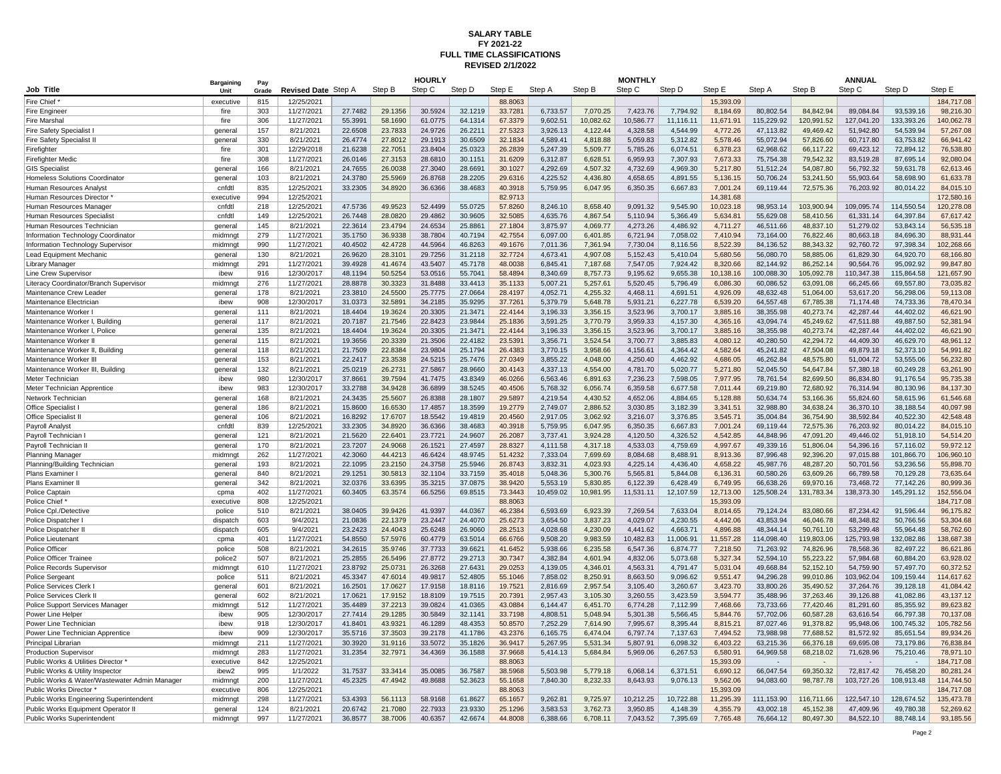## **FULL TIME CLASSIFICATIONS SALARY TABLE FY 2021-22 REVISED 2/1/2022**

|                                               | <b>Bargaining</b>  | Pay   |                     |         |         | <b>HOURLY</b> |         |         |           |           | <b>MONTHLY</b> |           |           |            |            | <b>ANNUAL</b> |            |            |
|-----------------------------------------------|--------------------|-------|---------------------|---------|---------|---------------|---------|---------|-----------|-----------|----------------|-----------|-----------|------------|------------|---------------|------------|------------|
| Job Title                                     | <b>Unit</b>        | Grade | Revised Date Step A |         | Step B  | Step C        | Step D  | Step E  | Step A    | Step B    | Step C         | Step D    | Step E    | Step A     | Step B     | Step C        | Step D     | Sten F     |
| Fire Chief                                    | executive          | 815   | 12/25/2021          |         |         |               |         | 88,8063 |           |           |                |           | 15,393.09 |            |            |               |            | 184,717.08 |
| <b>Fire Engineer</b>                          | fire               | 303   | 11/27/2021          | 27.7482 | 29.1356 | 30.5924       | 32.1219 | 33.7281 | 6.733.57  | 7.070.25  | 7.423.76       | 7.794.92  | 8.184.69  | 80.802.54  | 84.842.94  | 89.084.84     | 93.539.16  | 98.216.30  |
| Fire Marshal                                  | fire               | 306   | 11/27/2021          | 55.3991 | 58.1690 | 61.0775       | 64.1314 | 67.3379 | 9,602.51  | 10,082.62 | 10.586.77      | 11,116.11 | 11,671.91 | 115,229.92 | 120,991.52 | 127,041.20    | 133,393.26 | 140,062.78 |
| <b>Fire Safety Specialist</b>                 | general            | 157   | 8/21/2021           | 22.6508 | 23.7833 | 24.9726       | 26.2211 | 27.5323 | 3,926.13  | 4,122.44  | 4,328.58       | 4,544.99  | 4,772.26  | 47,113.82  | 49,469.42  | 51,942.80     | 54,539.94  | 57,267.08  |
| <b>Fire Safety Specialist II</b>              | general            | 330   | 8/21/2021           | 26.4774 | 27,8012 | 29.1913       | 30.6509 | 32.1834 | 4.589.41  | 4.818.88  | 5.059.83       | 5.312.82  | 5.578.46  | 55.072.94  | 57.826.60  | 60.717.80     | 63.753.82  | 66.941.42  |
| Firefighter                                   | fire               | 301   | 12/29/2018          | 21.6238 | 22.7051 | 23.8404       | 25.0323 | 26.2839 | 5,247.39  | 5,509.77  | 5,785.26       | 6,074.51  | 6,378.23  | 62,968.62  | 66,117.22  | 69,423.12     | 72,894.12  | 76,538.80  |
| <b>Firefighter Medic</b>                      | fire               | 308   | 11/27/2021          | 26.0146 | 27.3153 | 28.6810       | 30.1151 | 31.6209 | 6.312.87  | 6,628.51  | 6.959.93       | 7,307.93  | 7.673.33  | 75.754.38  | 79.542.32  | 83,519.28     | 87,695.14  | 92.080.04  |
| <b>GIS Specialist</b>                         | general            | 166   | 8/21/2021           | 24.7655 | 26.0038 | 27.3040       | 28.6691 | 30.1027 | 4,292.69  | 4,507.32  | 4,732.69       | 4,969.30  | 5,217.80  | 51,512.24  | 54,087.80  | 56,792.32     | 59,631.78  | 62,613.46  |
| Homeless Solutions Coordinator                | general            | 103   | 8/21/2021           | 24.3780 | 25.5969 | 26.8768       | 28.2205 | 29.6316 | 4,225.52  | 4,436.80  | 4,658.65       | 4,891.55  | 5,136.15  | 50,706.24  | 53,241.50  | 55,903.64     | 58,698.90  | 61,633.78  |
| Human Resources Analyst                       | cnfdtl             | 835   | 12/25/2021          | 33.2305 | 34.8920 | 36.6366       | 38.4683 | 40.3918 | 5,759.95  | 6,047.95  | 6,350.35       | 6,667.83  | 7,001.24  | 69.119.44  | 72,575.36  | 76,203.92     | 80,014.22  | 84,015.10  |
| Human Resources Director                      | executive          | 994   | 12/25/2021          |         |         |               |         | 82.9713 |           |           |                |           | 14,381.68 |            |            |               |            | 172.580.16 |
| Human Resources Manage                        | cnfdtl             | 218   | 12/25/2021          | 47.5736 | 49.9523 | 52.4499       | 55.0725 | 57.8260 | 8.246.10  | 8.658.40  | 9.091.32       | 9,545.90  | 10.023.18 | 98.953.14  | 103.900.94 | 109.095.74    | 114,550.54 | 120.278.08 |
|                                               | cnfdtl             | 149   | 12/25/2021          | 26.7448 | 28.0820 | 29.4862       | 30.9605 | 32.5085 | 4,635.76  | 4,867.54  | 5,110.94       | 5,366.49  | 5,634.81  | 55.629.08  | 58,410.56  | 61,331.14     | 64,397.84  | 67,617.42  |
| Human Resources Specialis                     |                    | 145   | 8/21/2021           | 22.3614 | 23.4794 | 24.6534       | 25.8861 | 27.1804 | 3,875.97  | 4,069.77  | 4,273.26       | 4,486.92  | 4,711.27  | 46,511.66  | 48,837.10  | 51,279.02     | 53,843.14  | 56,535.18  |
| Human Resources Technician                    | general<br>midmngt | 279   | 11/27/2021          | 35.1750 | 36.9338 | 38.7804       | 40.7194 | 42.7554 | 6,097.00  | 6,401.85  | 6,721.94       | 7,058.02  | 7,410.94  | 73,164.00  | 76,822.46  | 80,663.18     | 84,696.30  | 88.931.44  |
| Information Technology Coordinator            |                    | 990   | 11/27/2021          | 40.4502 | 42.4728 | 44.5964       | 46.8263 | 49.1676 | 7,011.36  | 7,361.94  | 7 730 04       | 8,116.56  | 8,522.39  | 84.136.52  | 88 343 32  | 92,760.72     | 97,398.34  | 102,268.66 |
| Information Technology Supervisor             | midmngt            |       |                     |         |         | 29.7256       | 31.2118 |         | 4,673.41  |           |                |           |           |            |            |               |            | 68,166.80  |
| Lead Equipment Mechanic                       | general            | 130   | 8/21/2021           | 26.9620 | 28.3101 |               |         | 32.7724 |           | 4,907.08  | 5,152.43       | 5,410.04  | 5,680.56  | 56,080.70  | 58,885.06  | 61,829.30     | 64,920.70  |            |
| Library Manager                               | midmng             | 291   | 11/27/2021          | 39.4928 | 41.4674 | 43.5407       | 45.7178 | 48.0038 | 6,845.41  | 7,187.68  | 7,547.05       | 7,924.42  | 8,320.66  | 82,144.92  | 86,252.14  | 90,564.76     | 95,092.92  | 99,847.80  |
| Line Crew Supervisor                          | ibew               | 916   | 12/30/2017          | 48.1194 | 50.5254 | 53.0516       | 55.7041 | 58.4894 | 8,340.69  | 8,757.73  | 9,195.62       | 9,655.38  | 10,138.16 | 100,088.30 | 105,092.78 | 110,347.38    | 115,864.58 | 121,657.90 |
| Literacy Coordinator/Branch Supervisor        | midmng             | 276   | 11/27/2021          | 28.8878 | 30.3323 | 31.8488       | 33.4413 | 35.1133 | 5.007.21  | 5,257.61  | 5,520.45       | 5,796.49  | 6,086.30  | 60.086.52  | 63.091.08  | 66,245.66     | 69,557.80  | 73,035.82  |
| Maintenance Crew Leader                       | general            | 178   | 8/21/2021           | 23.3810 | 24.5500 | 25.7775       | 27.0664 | 28.4197 | 4,052.71  | 4,255.32  | 4.468.11       | 4,691.51  | 4,926.09  | 48.632.48  | 51,064.00  | 53,617.20     | 56,298.06  | 59,113.08  |
| Maintenance Electrician                       | ibew               | 908   | 12/30/2017          | 31.0373 | 32.5891 | 34.2185       | 35.9295 | 37.7261 | 5,379.79  | 5,648.78  | 5,931.21       | 6,227.78  | 6,539.20  | 64,557.48  | 67,785.38  | 71,174.48     | 74,733.36  | 78,470.34  |
| Maintenance Worker                            | general            | 111   | 8/21/2021           | 18.4404 | 19.3624 | 20.3305       | 21.3471 | 22.4144 | 3,196.33  | 3,356.15  | 3,523.96       | 3,700.17  | 3,885.16  | 38,355.98  | 40,273.74  | 42,287.44     | 44,402.02  | 46,621.90  |
| Maintenance Worker I, Building                | general            | 117   | 8/21/2021           | 20.7187 | 21.7546 | 22.8423       | 23.9844 | 25.1836 | 3,591.25  | 3,770.79  | 3,959.33       | 4,157.30  | 4,365.16  | 43,094.74  | 45,249.62  | 47,511.88     | 49,887.50  | 52.381.94  |
| Maintenance Worker I, Police                  | general            | 135   | 8/21/2021           | 18.4404 | 19.3624 | 20.3305       | 21.3471 | 22.4144 | 3,196.33  | 3,356.15  | 3,523.96       | 3,700.17  | 3,885.16  | 38,355.98  | 40,273.74  | 42,287.44     | 44.402.02  | 46.621.90  |
| Maintenance Worker I                          | general            | 115   | 8/21/2021           | 19.3656 | 20.3339 | 21.3506       | 22.4182 | 23.5391 | 3,356.71  | 3,524.54  | 3,700.77       | 3,885.83  | 4,080.12  | 40,280.50  | 42,294.72  | 44,409.30     | 46,629.70  | 48,961.12  |
| Maintenance Worker II, Building               | general            | 118   | 8/21/2021           | 21.7509 | 22.8384 | 23.9804       | 25.1794 | 26.4383 | 3,770.15  | 3,958.66  | 4,156.61       | 4,364.42  | 4,582.64  | 45,241.82  | 47,504.08  | 49,879.18     | 52,373.10  | 54,991.82  |
| Maintenance Worker III                        | general            | 153   | 8/21/2021           | 22.2417 | 23.3538 | 24.5215       | 25.7476 | 27.0349 | 3,855.22  | 4,048.00  | 4,250.40       | 4,462.92  | 4,686.05  | 46,262.84  | 48,575.80  | 51,004.72     | 53,555.06  | 56,232.80  |
| Maintenance Worker III, Building              | genera             | 132   | 8/21/2021           | 25.0219 | 26.2731 | 27.5867       | 28.9660 | 30.4143 | 4,337.13  | 4,554.00  | 4,781.70       | 5,020.77  | 5,271.80  | 52,045.50  | 54,647.84  | 57,380.18     | 60,249.28  | 63,261.90  |
| Meter Technician                              | ibew               | 980   | 12/30/2017          | 37.8661 | 39.7594 | 41.7475       | 43.8349 | 46.0266 | 6,563.46  | 6,891.63  | 7,236.23       | 7,598.05  | 7.977.95  | 78.761.54  | 82.699.50  | 86,834.80     | 91,176.54  | 95,735.38  |
| Meter Technician Apprentice                   | ibew               | 983   | 12/30/2017          | 33.2788 | 34.9428 | 36.6899       | 38.5245 | 40.4506 | 5.768.32  | 6.056.74  | 6.359.58       | 6.677.58  | 7.011.44  | 69.219.80  | 72.680.92  | 76.314.94     | 80.130.96  | 84.137.30  |
| Network Technician                            | general            | 168   | 8/21/2021           | 24.3435 | 25.5607 | 26.8388       | 28.1807 | 29.5897 | 4,219.54  | 4,430.52  | 4,652.06       | 4,884.65  | 5,128.88  | 50,634.74  | 53,166.36  | 55,824.60     | 58,615.96  | 61,546.68  |
| Office Specialist                             | general            | 186   | 8/21/2021           | 15.8600 | 16.6530 | 17.4857       | 18.3599 | 19.2779 | 2,749.07  | 2,886.52  | 3,030.85       | 3,182.39  | 3,341.51  | 32,988.80  | 34,638.24  | 36,370.10     | 38,188.54  | 40,097.98  |
| Office Specialist II                          | general            | 106   | 8/21/2021           | 16.8292 | 17.6707 | 18.5542       | 19.4819 | 20.4560 | 2,917.05  | 3,062.92  | 3,216.07       | 3,376.85  | 3,545.71  | 35,004.84  | 36,754.90  | 38,592.84     | 40,522.30  | 42,548.48  |
| Payroll Analyst                               | cnfdtl             | 839   | 12/25/2021          | 33.2305 | 34.8920 | 36.6366       | 38.4683 | 40.3918 | 5,759.95  | 6,047.95  | 6,350.35       | 6,667.83  | 7,001.24  | 69,119.44  | 72,575.36  | 76,203.92     | 80,014.22  | 84,015.10  |
| Pavroll Technician I                          | general            | 121   | 8/21/2021           | 21.5620 | 22.6401 | 23.7721       | 24.9607 | 26,2087 | 3.737.41  | 3.924.28  | 4.120.50       | 4.326.52  | 4.542.85  | 44.848.96  | 47.091.20  | 49.446.02     | 51.918.10  | 54.514.20  |
| Payroll Technician I                          | general            | 170   | 8/21/2021           | 23.7207 | 24.9068 | 26.1521       | 27.4597 | 28.8327 | 4,111.58  | 4,317.18  | 4,533.03       | 4,759.69  | 4,997.67  | 49,339.16  | 51,806.04  | 54,396.16     | 57,116.02  | 59,972.12  |
| <b>Planning Manager</b>                       | midmngt            | 262   | 11/27/2021          | 42,3060 | 44.4213 | 46.6424       | 48.9745 | 51.4232 | 7.333.04  | 7,699.69  | 8.084.68       | 8.488.91  | 8.913.36  | 87.996.48  | 92.396.20  | 97.015.88     | 101.866.70 | 106.960.10 |
| Planning/Building Technician                  | general            | 193   | 8/21/2021           | 22.1095 | 23.2150 | 24.3758       | 25.5946 | 26.8743 | 3.832.31  | 4.023.93  | 4.225.14       | 4.436.40  | 4.658.22  | 45.987.76  | 48.287.20  | 50,701.56     | 53.236.56  | 55.898.70  |
| Plans Examiner I                              | general            | 840   | 8/21/2021           | 29.1251 | 30.5813 | 32.1104       | 33.7159 | 35.4018 | 5,048.36  | 5,300.76  | 5,565.81       | 5,844.08  | 6,136.31  | 60,580.26  | 63,609.26  | 66,789.58     | 70,129.28  | 73,635.64  |
| Plans Examiner II                             | general            | 342   | 8/21/2021           | 32.0376 | 33.6395 | 35.3215       | 37.0875 | 38.9420 | 5,553.19  | 5,830.85  | 6,122.39       | 6,428.49  | 6,749.95  | 66,638.26  | 69,970.16  | 73,468.72     | 77,142.26  | 80,999.36  |
| Police Captain                                | cpma               | 402   | 11/27/2021          | 60.3405 | 63.3574 | 66.5256       | 69.8515 | 73.3443 | 10,459.02 | 10,981.95 | 11,531.11      | 12,107.59 | 12,713.00 | 125,508.24 | 131,783.34 | 138,373.30    | 145,291.12 | 152,556.04 |
| Police Chief                                  | executive          | 808   | 12/25/2021          |         |         |               |         | 88.8063 |           |           |                |           | 15.393.09 |            |            |               |            | 184.717.08 |
| Police Cpl./Detective                         | police             | 510   | 8/21/2021           | 38.0405 | 39.9426 | 41.9397       | 44.0367 | 46.2384 | 6,593.69  | 6,923.39  | 7,269.54       | 7,633.04  | 8,014.65  | 79,124.24  | 83,080.66  | 87,234.42     | 91,596.44  | 96,175.82  |
| Police Dispatcher                             | dispatch           | 603   | 9/4/2021            | 21.0836 | 22.1379 | 23.2447       | 24.4070 | 25.6273 | 3.654.50  | 3.837.23  | 4.029.07       | 4.230.55  | 4.442.06  | 43.853.94  | 46.046.78  | 48.348.82     | 50.766.56  | 53.304.68  |
| Police Dispatcher I                           | dispatch           | 605   | 9/4/2021            | 23.2423 | 24.4043 | 25.6248       | 26.9060 | 28.2513 | 4,028.68  | 4,230.09  | 4.441.62       | 4,663.71  | 4,896.88  | 48,344.14  | 50,761.10  | 53,299.48     | 55,964.48  | 58,762.60  |
| Police Lieutenant                             | cpma               | 401   | 11/27/2021          | 54.8550 | 57.5976 | 60.4779       | 63.5014 | 66.6766 | 9,508.20  | 9,983.59  | 10,482.83      | 11,006.91 | 11,557.28 | 114,098.40 | 119,803.06 | 125,793.98    | 132,082.86 | 138,687.38 |
| Police Officer                                | police             | 508   | 8/21/2021           | 34.2615 | 35.9746 | 37.7733       | 39.6621 | 41.6452 | 5,938.66  | 6,235.58  | 6,547.36       | 6.874.77  | 7,218.50  | 71.263.92  | 74,826.96  | 78,568.36     | 82.497.22  | 86,621.86  |
| Police Officer Trainee                        | police2            | 507   | 8/21/2021           | 25.2855 | 26.5496 | 27.8772       | 29.2713 | 30.7347 | 4,382.84  | 4,601.94  | 4,832.06       | 5,073.68  | 5,327.34  | 52.594.10  | 55,223.22  | 57,984.68     | 60,884.20  | 63,928.02  |
| Police Records Supervisor                     | midmngt            | 610   | 11/27/2021          | 23.8792 | 25.0731 | 26.3268       | 27.6431 | 29.0253 | 4,139.05  | 4,346.01  | 4,563.31       | 4,791.47  | 5,031.04  | 49,668.84  | 52,152.10  | 54,759.90     | 57,497.70  | 60,372.52  |
| Police Sergeant                               | police             | 511   | 8/21/2021           | 45.3347 | 47.6014 | 49.9817       | 52.4805 | 55.1046 | 7,858.02  | 8,250.91  | 8,663.50       | 9,096.62  | 9,551.47  | 94,296.28  | 99,010.86  | 103,962.04    | 109,159.44 | 114,617.62 |
| Police Services Clerk                         | genera             | 601   | 8/21/2021           | 16.2501 | 17.0627 | 17.9158       | 18.8116 | 19.7521 | 2,816.69  | 2,957.54  | 3,105.40       | 3,260.67  | 3,423.70  | 33,800.26  | 35,490.52  | 37,264.76     | 39,128.18  | 41.084.42  |
| Police Services Clerk I                       | general            | 602   | 8/21/2021           | 17.0621 | 17.9152 | 18.8109       | 19.7515 | 20.7391 | 2,957.43  | 3,105.30  | 3,260.55       | 3,423.59  | 3,594.77  | 35,488.96  | 37,263.46  | 39,126.88     | 41,082.86  | 43,137.12  |
| Police Support Services Manager               | midmng             | 512   | 11/27/2021          | 35.4489 | 37.2213 | 39.0824       | 41.0365 | 43.0884 | 6.144.47  | 6,451.70  | 6.774.28       | 7.112.99  | 7,468.66  | 73.733.66  | 77.420.46  | 81,291.60     | 85,355.92  | 89,623.82  |
| Power Line Helper                             | ibew               | 905   | 12/30/2017          | 27.7414 | 29.1285 | 30.5849       | 32.1141 | 33.7198 | 4.808.51  | 5.048.94  | 5.301.38       | 5,566.45  | 5.844.76  | 57.702.06  | 60.587.28  | 63.616.54     | 66,797.38  | 70.137.08  |
| Power Line Technician                         | ibew               | 918   | 12/30/2017          | 41.8401 | 43.9321 | 46.1289       | 48.4353 | 50.8570 | 7.252.29  | 7,614.90  | 7,995.67       | 8,395.44  | 8,815.21  | 87,027.46  | 91,378.82  | 95,948.06     | 100,745.32 | 105,782.56 |
| Power Line Technician Apprentice              | ibew               | 909   | 12/30/2017          | 35.5716 | 37.3503 | 39.2178       | 41.1786 | 43.2376 | 6,165.75  | 6.474.04  | 6,797.74       | 7,137.63  | 7,494.52  | 73.988.98  | 77,688.52  | 81,572.92     | 85,651.54  | 89,934.26  |
| Principal Librarian                           | midmngt            | 211   | 11/27/2021          | 30.3920 | 31.9116 | 33.5072       | 35.1826 | 36.9417 | 5,267.95  | 5,531.34  | 5,807.91       | 6,098.32  | 6,403.22  | 63,215.36  | 66,376.18  | 69,695.08     | 73,179.86  | 76,838.84  |
| <b>Production Supervisor</b>                  | midmngt            | 283   | 11/27/2021          | 31.2354 | 32.7971 | 34.4369       | 36.1588 | 37.9668 | 5,414.13  | 5,684.84  | 5,969.06       | 6,267.53  | 6,580.91  | 64,969.58  | 68,218.02  | 71,628.96     | 75,210.46  | 78,971.10  |
| Public Works & Utilities Director '           | executive          | 842   | 12/25/2021          |         |         |               |         | 88.8063 |           |           |                |           | 15,393.09 | ÷.         |            |               | $\sim$     | 184,717.08 |
| Public Works & Utility Inspector              | ibew2              | 995   | 1/1/2022            | 31.7537 | 33.3414 | 35,0085       | 36,7587 | 38,5968 | 5.503.98  | 5.779.18  | 6.068.14       | 6,371.51  | 6.690.12  | 66.047.54  | 69.350.32  | 72.817.42     | 76.458.20  | 80.281.24  |
| Public Works & Water/Wastewater Admin Manager | midmngt            | 200   | 11/27/2021          | 45.2325 | 47.4942 | 49.8688       | 52.3623 | 55.1658 | 7,840.30  | 8,232.33  | 8,643.93       | 9,076.13  | 9,562.06  | 94,083.60  | 98,787.78  | 103,727.26    | 108,913.48 | 114,744.50 |
| Public Works Director                         | executive          | 806   | 12/25/2021          |         |         |               |         | 88.8063 |           |           |                |           | 15.393.09 |            |            |               |            | 184.717.08 |
| Public Works Engineering Superintendent       | midmngt            | 298   | 11/27/2021          | 53.4393 | 56.1113 | 58.9168       | 61.8627 | 65.1657 | 9,262.81  | 9,725.97  | 10.212.25      | 10,722.88 | 11.295.39 | 111,153.90 | 116,711.66 | 122.547.10    | 128.674.52 | 135.473.78 |
| Public Works Equipment Operator II            | general            | 124   | 8/21/2021           | 20.6742 | 21,7080 | 22.7933       | 23.9330 | 25.1296 | 3.583.53  | 3,762.73  | 3,950.85       | 4,148.39  | 4.355.79  | 43.002.18  | 45,152.38  | 47,409.96     | 49.780.38  | 52,269.62  |
| Public Works Superintendent                   | midmngt            | 997   | 11/27/2021          | 36.8577 | 38.7006 | 40.6357       | 42.6674 | 44.8008 | 6.388.66  | 6,708.11  | 7,043.52       | 7,395.69  | 7,765.48  | 76,664.12  | 80,497.30  | 84,522.10     | 88,748.14  | 93,185.56  |